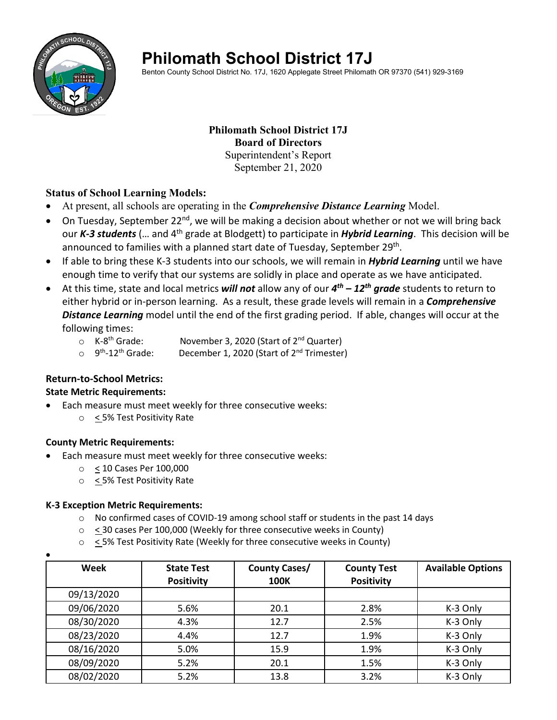

# **Philomath School District 17J**

Benton County School District No. 17J, 1620 Applegate Street Philomath OR 97370 (541) 929-3169

#### **Philomath School District 17J Board of Directors** Superintendent's Report September 21, 2020

#### **Status of School Learning Models:**

- At present, all schools are operating in the *Comprehensive Distance Learning* Model.
- On Tuesday, September 22<sup>nd</sup>, we will be making a decision about whether or not we will bring back our *K-3 students* (... and 4<sup>th</sup> grade at Blodgett) to participate in *Hybrid Learning*. This decision will be announced to families with a planned start date of Tuesday, September 29<sup>th</sup>.
- If able to bring these K-3 students into our schools, we will remain in *Hybrid Learning* until we have enough time to verify that our systems are solidly in place and operate as we have anticipated.
- At this time, state and local metrics *will not* allow any of our *4th – 12th grade* students to return to either hybrid or in-person learning. As a result, these grade levels will remain in a *Comprehensive Distance Learning* model until the end of the first grading period. If able, changes will occur at the following times:
	- K-8<sup>th</sup> Grade: November 3, 2020 (Start of 2<sup>nd</sup> Quarter)<br>○ 9<sup>th</sup>-12<sup>th</sup> Grade: December 1, 2020 (Start of 2<sup>nd</sup> Trimester
	- December 1, 2020 (Start of  $2^{nd}$  Trimester)

#### **Return-to-School Metrics:**

#### **State Metric Requirements:**

- Each measure must meet weekly for three consecutive weeks:
	- o < 5% Test Positivity Rate

#### **County Metric Requirements:**

- Each measure must meet weekly for three consecutive weeks:
	- o < 10 Cases Per 100,000
	- o < 5% Test Positivity Rate

#### **K-3 Exception Metric Requirements:**

- $\circ$  No confirmed cases of COVID-19 among school staff or students in the past 14 days
- o < 30 cases Per 100,000 (Weekly for three consecutive weeks in County)
- o < 5% Test Positivity Rate (Weekly for three consecutive weeks in County)

| $\bullet$  |                                        |                                     |                                         |                          |
|------------|----------------------------------------|-------------------------------------|-----------------------------------------|--------------------------|
| Week       | <b>State Test</b><br><b>Positivity</b> | <b>County Cases/</b><br><b>100K</b> | <b>County Test</b><br><b>Positivity</b> | <b>Available Options</b> |
| 09/13/2020 |                                        |                                     |                                         |                          |
| 09/06/2020 | 5.6%                                   | 20.1                                | 2.8%                                    | K-3 Only                 |
| 08/30/2020 | 4.3%                                   | 12.7                                | 2.5%                                    | K-3 Only                 |
| 08/23/2020 | 4.4%                                   | 12.7                                | 1.9%                                    | K-3 Only                 |
| 08/16/2020 | 5.0%                                   | 15.9                                | 1.9%                                    | K-3 Only                 |
| 08/09/2020 | 5.2%                                   | 20.1                                | 1.5%                                    | K-3 Only                 |
| 08/02/2020 | 5.2%                                   | 13.8                                | 3.2%                                    | K-3 Only                 |